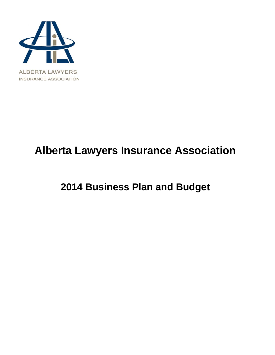

# **Alberta Lawyers Insurance Association**

# **2014 Business Plan and Budget**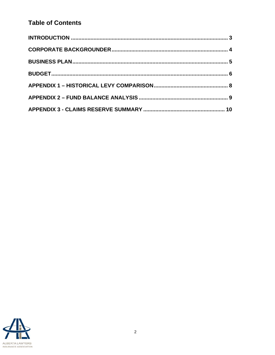# **Table of Contents**

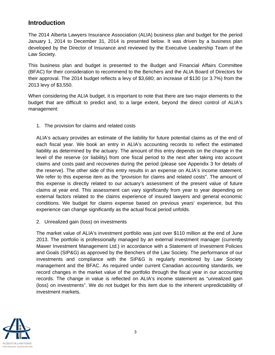### **Introduction**

The 2014 Alberta Lawyers Insurance Association (ALIA) business plan and budget for the period January 1, 2014 to December 31, 2014 is presented below. It was driven by a business plan developed by the Director of Insurance and reviewed by the Executive Leadership Team of the Law Society.

This business plan and budget is presented to the Budget and Financial Affairs Committee (BFAC) for their consideration to recommend to the Benchers and the ALIA Board of Directors for their approval. The 2014 budget reflects a levy of \$3,680; an increase of \$130 (or 3.7%) from the 2013 levy of \$3,550.

When considering the ALIA budget, it is important to note that there are two major elements to the budget that are difficult to predict and, to a large extent, beyond the direct control of ALIA's management:

1. The provision for claims and related costs

ALIA's actuary provides an estimate of the liability for future potential claims as of the end of each fiscal year. We book an entry in ALIA's accounting records to reflect the estimated liability as determined by the actuary. The amount of this entry depends on the change in the level of the reserve (or liability) from one fiscal period to the next after taking into account claims and costs paid and recoveries during the period (please see Appendix 3 for details of the reserve). The other side of this entry results in an expense on ALIA's income statement. We refer to this expense item as the "provision for claims and related costs". The amount of this expense is directly related to our actuary's assessment of the present value of future claims at year end. This assessment can vary significantly from year to year depending on external factors related to the claims experience of insured lawyers and general economic conditions. We budget for claims expense based on previous years' experience, but this experience can change significantly as the actual fiscal period unfolds.

2. Unrealized gain (loss) on investments

The market value of ALIA's investment portfolio was just over \$110 million at the end of June 2013. The portfolio is professionally managed by an external investment manager (currently Mawer Investment Management Ltd.) in accordance with a Statement of Investment Policies and Goals (SIP&G) as approved by the Benchers of the Law Society. The performance of our investments and compliance with the SIP&G is regularly monitored by Law Society management and the BFAC. As required under current Canadian accounting standards, we record changes in the market value of the portfolio through the fiscal year in our accounting records. The change in value is reflected on ALIA's income statement as "unrealized gain (loss) on investments". We do not budget for this item due to the inherent unpredictability of investment markets.

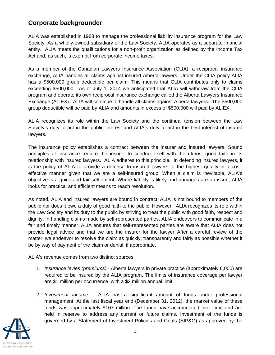## **Corporate backgrounder**

ALIA was established in 1988 to manage the professional liability insurance program for the Law Society. As a wholly-owned subsidiary of the Law Society, ALIA operates as a separate financial entity. ALIA meets the qualifications for a non-profit organization as defined by the Income Tax Act and, as such, is exempt from corporate income taxes.

As a member of the Canadian Lawyers Insurance Association (CLIA), a reciprocal insurance exchange, ALIA handles all claims against insured Alberta lawyers. Under the CLIA policy ALIA has a \$500,000 group deductible per claim. This means that CLIA contributes only to claims exceeding \$500,000. As of July 1, 2014 we anticipated that ALIA will withdraw from the CLIA program and operate its own reciprocal insurance exchange called the Alberta Lawyers Insurance Exchange (ALIEX). ALIA will continue to handle all claims against Alberta lawyers. The \$500,000 group deductible will be paid by ALIA and amounts in excess of \$500,000 will paid by ALIEX.

ALIA recognizes its role within the Law Society and the continual tension between the Law Society's duty to act in the public interest and ALIA's duty to act in the best interest of insured lawyers.

The insurance policy establishes a contract between the insurer and insured lawyers. Sound principles of insurance require the insurer to conduct itself with the utmost good faith in its relationship with insured lawyers. ALIA adheres to this principle. In defending insured lawyers, it is the policy of ALIA to provide a defense to insured lawyers of the highest quality in a costeffective manner given that we are a self-insured group. When a claim is inevitable, ALIA's objective is a quick and fair settlement. Where liability is likely and damages are an issue, ALIA looks for practical and efficient means to reach resolution.

As noted, ALIA and insured lawyers are bound in contract. ALIA is not bound to members of the public nor does it owe a duty of good faith to the public. However, ALIA recognizes its role within the Law Society and its duty to the public by striving to treat the public with good faith, respect and dignity. In handling claims made by self-represented parties, ALIA endeavors to communicate in a fair and timely manner. ALIA ensures that self-represented parties are aware that ALIA does not provide legal advice and that we are the insurer for the lawyer. After a careful review of the matter, we endeavor to resolve the claim as quickly, transparently and fairly as possible whether it be by way of payment of the claim or denial, if appropriate.

ALIA's revenue comes from two distinct sources:

- 1. *Insurance levies (premiums)* Alberta lawyers in private practice (approximately 6,000) are required to be insured by the ALIA program. The limits of insurance coverage per lawyer are \$1 million per occurrence, with a \$2 million annual limit.
- 2. *Investment income* ALIA has a significant amount of funds under professional management. At the last fiscal year end (December 31, 2012), the market value of these funds was approximately \$107 million. The funds have accumulated over time and are held in reserve to address any current or future claims. Investment of the funds is governed by a Statement of Investment Policies and Goals (SIP&G) as approved by the

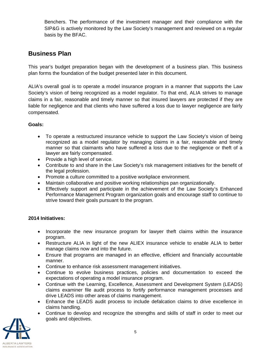Benchers. The performance of the investment manager and their compliance with the SIP&G is actively monitored by the Law Society's management and reviewed on a regular basis by the BFAC.

## **Business Plan**

This year's budget preparation began with the development of a business plan. This business plan forms the foundation of the budget presented later in this document.

ALIA's overall goal is to operate a model insurance program in a manner that supports the Law Society's vision of being recognized as a model regulator. To that end, ALIA strives to manage claims in a fair, reasonable and timely manner so that insured lawyers are protected if they are liable for negligence and that clients who have suffered a loss due to lawyer negligence are fairly compensated.

### **Goals:**

- To operate a restructured insurance vehicle to support the Law Society's vision of being recognized as a model regulator by managing claims in a fair, reasonable and timely manner so that claimants who have suffered a loss due to the negligence or theft of a lawyer are fairly compensated.
- Provide a high level of service.
- Contribute to and share in the Law Society's risk management initiatives for the benefit of the legal profession.
- Promote a culture committed to a positive workplace environment.
- Maintain collaborative and positive working relationships pan organizationally.
- Effectively support and participate in the achievement of the Law Society's Enhanced Performance Management Program organization goals and encourage staff to continue to strive toward their goals pursuant to the program.

### **2014 Initiatives:**

- Incorporate the new insurance program for lawyer theft claims within the insurance program.
- Restructure ALIA in light of the new ALIEX insurance vehicle to enable ALIA to better manage claims now and into the future.
- Ensure that programs are managed in an effective, efficient and financially accountable manner.
- Continue to enhance risk assessment management initiatives.
- Continue to evolve business practices, policies and documentation to exceed the expectations of operating a model insurance program.
- Continue with the Learning, Excellence, Assessment and Development System (LEADS) claims examiner file audit process to fortify performance management processes and drive LEADS into other areas of claims management.
- Enhance the LEADS audit process to include defalcation claims to drive excellence in claims handling.
- Continue to develop and recognize the strengths and skills of staff in order to meet our goals and objectives.

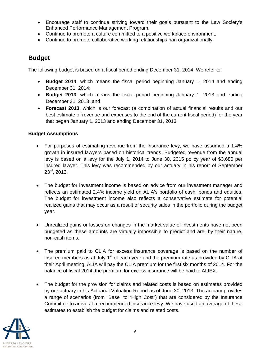- Encourage staff to continue striving toward their goals pursuant to the Law Society's Enhanced Performance Management Program.
- Continue to promote a culture committed to a positive workplace environment.
- Continue to promote collaborative working relationships pan organizationally.

### **Budget**

The following budget is based on a fiscal period ending December 31, 2014. We refer to:

- **Budget 2014**, which means the fiscal period beginning January 1, 2014 and ending December 31, 2014;
- **Budget 2013**, which means the fiscal period beginning January 1, 2013 and ending December 31, 2013; and
- **Forecast 2013**, which is our forecast (a combination of actual financial results and our best estimate of revenue and expenses to the end of the current fiscal period) for the year that began January 1, 2013 and ending December 31, 2013.

### **Budget Assumptions**

- For purposes of estimating revenue from the insurance levy, we have assumed a 1.4% growth in insured lawyers based on historical trends. Budgeted revenue from the annual levy is based on a levy for the July 1, 2014 to June 30, 2015 policy year of \$3,680 per insured lawyer. This levy was recommended by our actuary in his report of September  $23^{rd}$ , 2013.
- The budget for investment income is based on advice from our investment manager and reflects an estimated 2.4% income yield on ALIA's portfolio of cash, bonds and equities. The budget for investment income also reflects a conservative estimate for potential realized gains that may occur as a result of security sales in the portfolio during the budget year.
- Unrealized gains or losses on changes in the market value of investments have not been budgeted as these amounts are virtually impossible to predict and are, by their nature, non-cash items.
- The premium paid to CLIA for excess insurance coverage is based on the number of insured members as at July  $1<sup>st</sup>$  of each year and the premium rate as provided by CLIA at their April meeting. ALIA will pay the CLIA premium for the first six months of 2014. For the balance of fiscal 2014, the premium for excess insurance will be paid to ALIEX.
- The budget for the provision for claims and related costs is based on estimates provided by our actuary in his Actuarial Valuation Report as of June 30, 2013. The actuary provides a range of scenarios (from "Base" to "High Cost") that are considered by the Insurance Committee to arrive at a recommended insurance levy. We have used an average of these estimates to establish the budget for claims and related costs.

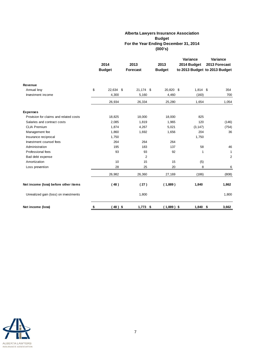#### **Alberta Lawyers Insurance Association Budget For the Year Ending December 31, 2014 (000's)**

|                                        | 2014            | 2013            |  | 2013          | Variance<br>2014 Budget | Variance<br>2013 Forecast     |  |
|----------------------------------------|-----------------|-----------------|--|---------------|-------------------------|-------------------------------|--|
|                                        | <b>Budget</b>   | <b>Forecast</b> |  | <b>Budget</b> |                         | to 2013 Budget to 2013 Budget |  |
|                                        |                 |                 |  |               |                         |                               |  |
| Revenue                                |                 |                 |  |               |                         |                               |  |
| Annual levy                            | \$<br>22,634 \$ | 21,174 \$       |  | 20,820 \$     | $1,814$ \$              | 354                           |  |
| Investment income                      | 4,300           | 5,160           |  | 4,460         | (160)                   | 700                           |  |
|                                        | 26,934          | 26,334          |  | 25,280        | 1,654                   | 1,054                         |  |
| <b>Expenses</b>                        |                 |                 |  |               |                         |                               |  |
| Provision for claims and related costs | 18,825          | 18,000          |  | 18,000        | 825                     |                               |  |
| Salaries and contract costs            | 2,085           | 1,819           |  | 1,965         | 120                     | (146)                         |  |
| <b>CLIA Premium</b>                    | 1,874           | 4,267           |  | 5,021         | (3, 147)                | (754)                         |  |
| Management fee                         | 1,860           | 1,692           |  | 1,656         | 204                     | 36                            |  |
| Insurance reciprocal                   | 1,750           |                 |  |               | 1,750                   |                               |  |
| Investment counsel fees                | 264             | 264             |  | 264           |                         |                               |  |
| Administration                         | 195             | 183             |  | 137           | 58                      | 46                            |  |
| Professional fees                      | 93              | 93              |  | 92            | 1                       | $\mathbf{1}$                  |  |
| Bad debt expense                       |                 | $\overline{2}$  |  |               |                         | $\overline{2}$                |  |
| Amortization                           | 10              | 15              |  | 15            | (5)                     |                               |  |
| Loss prevention                        | 28              | 25              |  | 20            | 8                       | 6                             |  |
|                                        | 26,982          | 26,360          |  | 27,169        | (186)                   | (808)                         |  |
| Net income (loss) before other items   | (48)            | (27)            |  | (1,889)       | 1,840                   | 1,862                         |  |
| Unrealized gain (loss) on investments  |                 | 1,800           |  |               |                         | 1,800                         |  |
| Net income (loss)                      | \$<br>$(48)$ \$ | $1,773$ \$      |  | $(1,889)$ \$  | $1,840$ \$              | 3,662                         |  |

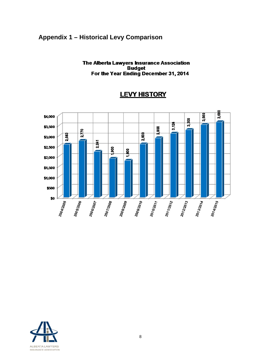### **Appendix 1 – Historical Levy Comparison**

#### The Alberta Lawyers Insurance Association **Budget** For the Year Ending December 31, 2014



### **LEVY HISTORY**

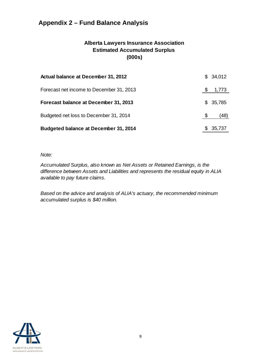# **Appendix 2 – Fund Balance Analysis**

### **Alberta Lawyers Insurance Association Estimated Accumulated Surplus (000s)**

| Actual balance at December 31, 2012          | \$34,012 |
|----------------------------------------------|----------|
| Forecast net income to December 31, 2013     | 1,773    |
| Forecast balance at December 31, 2013        | \$35,785 |
| Budgeted net loss to December 31, 2014       | (48)     |
| <b>Budgeted balance at December 31, 2014</b> | 35,737   |

#### *Note:*

*Accumulated Surplus, also known as Net Assets or Retained Earnings, is the difference between Assets and Liabilities and represents the residual equity in ALIA available to pay future claims.* 

*Based on the advice and analysis of ALIA's actuary, the recommended minimum accumulated surplus is \$40 million.*